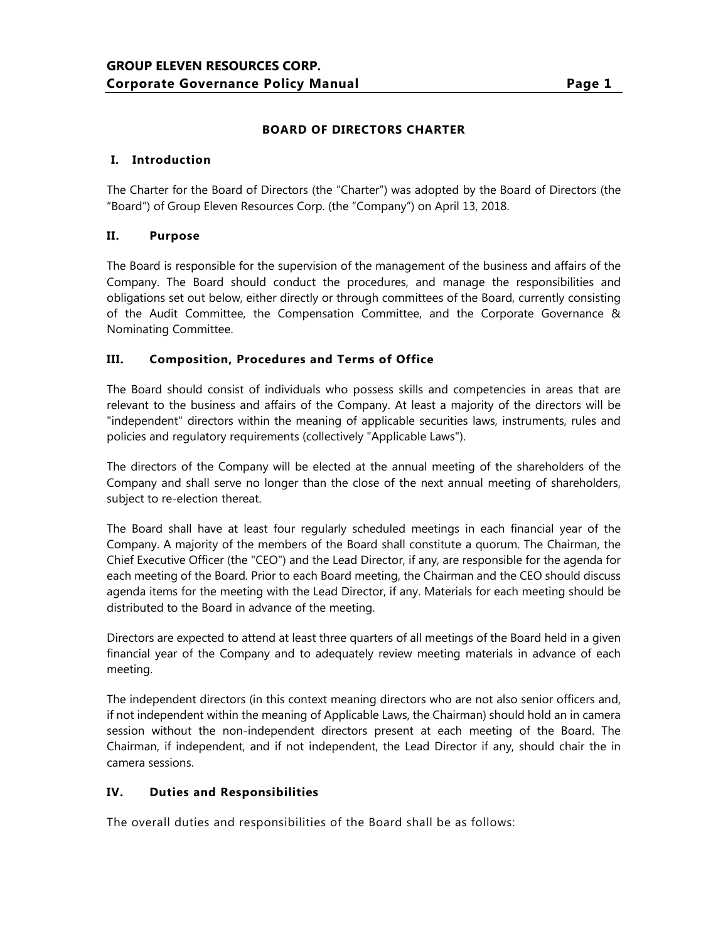## **BOARD OF DIRECTORS CHARTER**

### **I. Introduction**

The Charter for the Board of Directors (the "Charter") was adopted by the Board of Directors (the "Board") of Group Eleven Resources Corp. (the "Company") on April 13, 2018.

### **II. Purpose**

The Board is responsible for the supervision of the management of the business and affairs of the Company. The Board should conduct the procedures, and manage the responsibilities and obligations set out below, either directly or through committees of the Board, currently consisting of the Audit Committee, the Compensation Committee, and the Corporate Governance & Nominating Committee.

### **III. Composition, Procedures and Terms of Office**

The Board should consist of individuals who possess skills and competencies in areas that are relevant to the business and affairs of the Company. At least a majority of the directors will be "independent" directors within the meaning of applicable securities laws, instruments, rules and policies and regulatory requirements (collectively "Applicable Laws").

The directors of the Company will be elected at the annual meeting of the shareholders of the Company and shall serve no longer than the close of the next annual meeting of shareholders, subject to re-election thereat.

The Board shall have at least four regularly scheduled meetings in each financial year of the Company. A majority of the members of the Board shall constitute a quorum. The Chairman, the Chief Executive Officer (the "CEO") and the Lead Director, if any, are responsible for the agenda for each meeting of the Board. Prior to each Board meeting, the Chairman and the CEO should discuss agenda items for the meeting with the Lead Director, if any. Materials for each meeting should be distributed to the Board in advance of the meeting.

Directors are expected to attend at least three quarters of all meetings of the Board held in a given financial year of the Company and to adequately review meeting materials in advance of each meeting.

The independent directors (in this context meaning directors who are not also senior officers and, if not independent within the meaning of Applicable Laws, the Chairman) should hold an in camera session without the non-independent directors present at each meeting of the Board. The Chairman, if independent, and if not independent, the Lead Director if any, should chair the in camera sessions.

### **IV. Duties and Responsibilities**

The overall duties and responsibilities of the Board shall be as follows: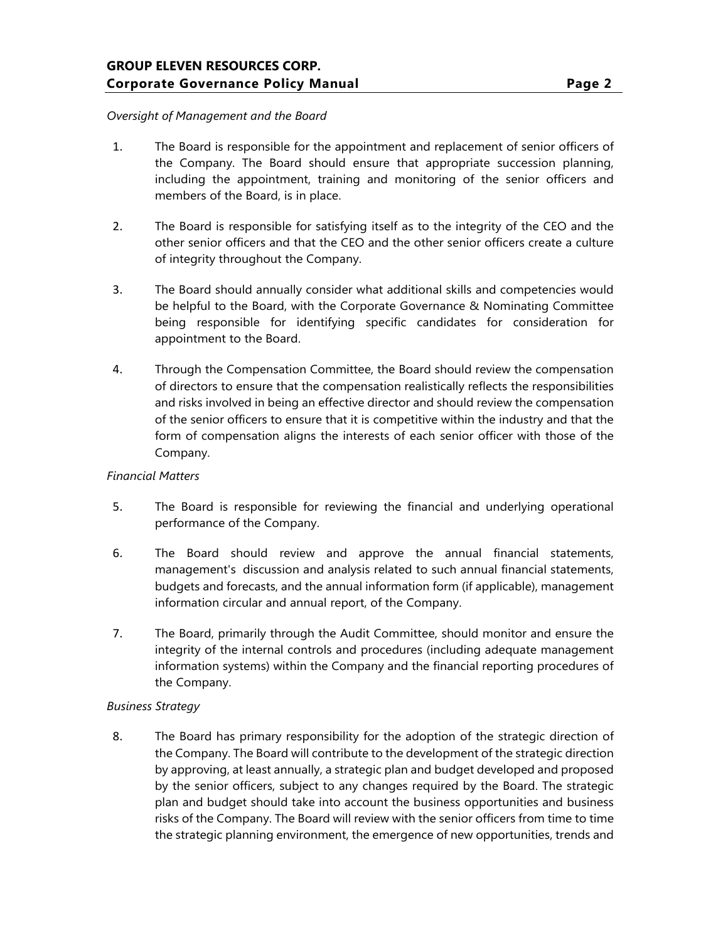#### *Oversight of Management and the Board*

- 1. The Board is responsible for the appointment and replacement of senior officers of the Company. The Board should ensure that appropriate succession planning, including the appointment, training and monitoring of the senior officers and members of the Board, is in place.
- 2. The Board is responsible for satisfying itself as to the integrity of the CEO and the other senior officers and that the CEO and the other senior officers create a culture of integrity throughout the Company.
- 3. The Board should annually consider what additional skills and competencies would be helpful to the Board, with the Corporate Governance & Nominating Committee being responsible for identifying specific candidates for consideration for appointment to the Board.
- 4. Through the Compensation Committee, the Board should review the compensation of directors to ensure that the compensation realistically reflects the responsibilities and risks involved in being an effective director and should review the compensation of the senior officers to ensure that it is competitive within the industry and that the form of compensation aligns the interests of each senior officer with those of the Company.

#### *Financial Matters*

- 5. The Board is responsible for reviewing the financial and underlying operational performance of the Company.
- 6. The Board should review and approve the annual financial statements, management's discussion and analysis related to such annual financial statements, budgets and forecasts, and the annual information form (if applicable), management information circular and annual report, of the Company.
- 7. The Board, primarily through the Audit Committee, should monitor and ensure the integrity of the internal controls and procedures (including adequate management information systems) within the Company and the financial reporting procedures of the Company.

### *Business Strategy*

8. The Board has primary responsibility for the adoption of the strategic direction of the Company. The Board will contribute to the development of the strategic direction by approving, at least annually, a strategic plan and budget developed and proposed by the senior officers, subject to any changes required by the Board. The strategic plan and budget should take into account the business opportunities and business risks of the Company. The Board will review with the senior officers from time to time the strategic planning environment, the emergence of new opportunities, trends and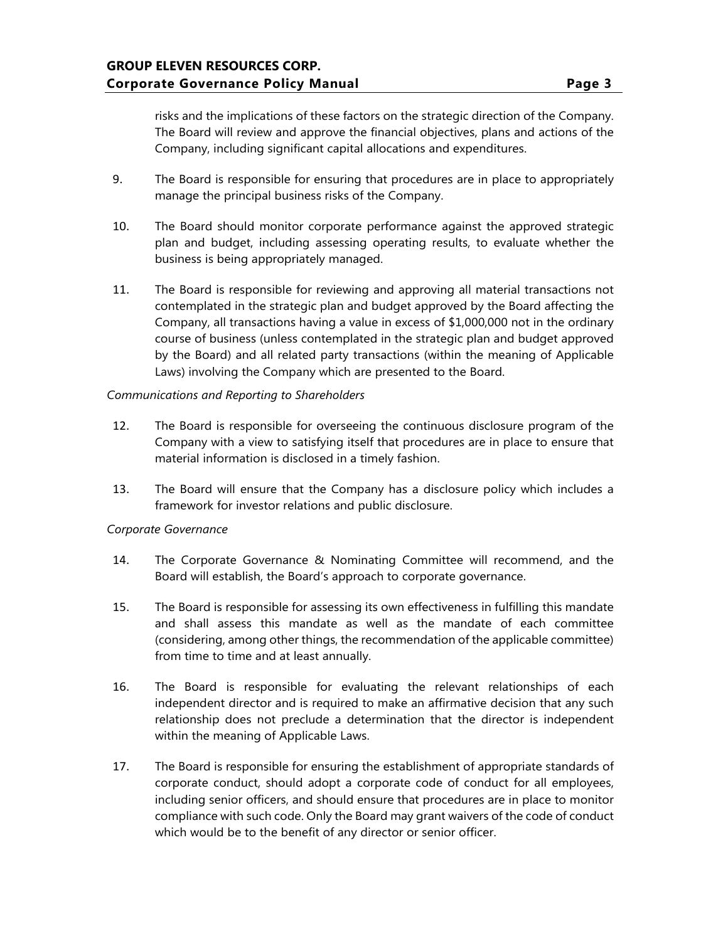risks and the implications of these factors on the strategic direction of the Company. The Board will review and approve the financial objectives, plans and actions of the Company, including significant capital allocations and expenditures.

- 9. The Board is responsible for ensuring that procedures are in place to appropriately manage the principal business risks of the Company.
- 10. The Board should monitor corporate performance against the approved strategic plan and budget, including assessing operating results, to evaluate whether the business is being appropriately managed.
- 11. The Board is responsible for reviewing and approving all material transactions not contemplated in the strategic plan and budget approved by the Board affecting the Company, all transactions having a value in excess of \$1,000,000 not in the ordinary course of business (unless contemplated in the strategic plan and budget approved by the Board) and all related party transactions (within the meaning of Applicable Laws) involving the Company which are presented to the Board.

#### *Communications and Reporting to Shareholders*

- 12. The Board is responsible for overseeing the continuous disclosure program of the Company with a view to satisfying itself that procedures are in place to ensure that material information is disclosed in a timely fashion.
- 13. The Board will ensure that the Company has a disclosure policy which includes a framework for investor relations and public disclosure.

#### *Corporate Governance*

- 14. The Corporate Governance & Nominating Committee will recommend, and the Board will establish, the Board's approach to corporate governance.
- 15. The Board is responsible for assessing its own effectiveness in fulfilling this mandate and shall assess this mandate as well as the mandate of each committee (considering, among other things, the recommendation of the applicable committee) from time to time and at least annually.
- 16. The Board is responsible for evaluating the relevant relationships of each independent director and is required to make an affirmative decision that any such relationship does not preclude a determination that the director is independent within the meaning of Applicable Laws.
- 17. The Board is responsible for ensuring the establishment of appropriate standards of corporate conduct, should adopt a corporate code of conduct for all employees, including senior officers, and should ensure that procedures are in place to monitor compliance with such code. Only the Board may grant waivers of the code of conduct which would be to the benefit of any director or senior officer.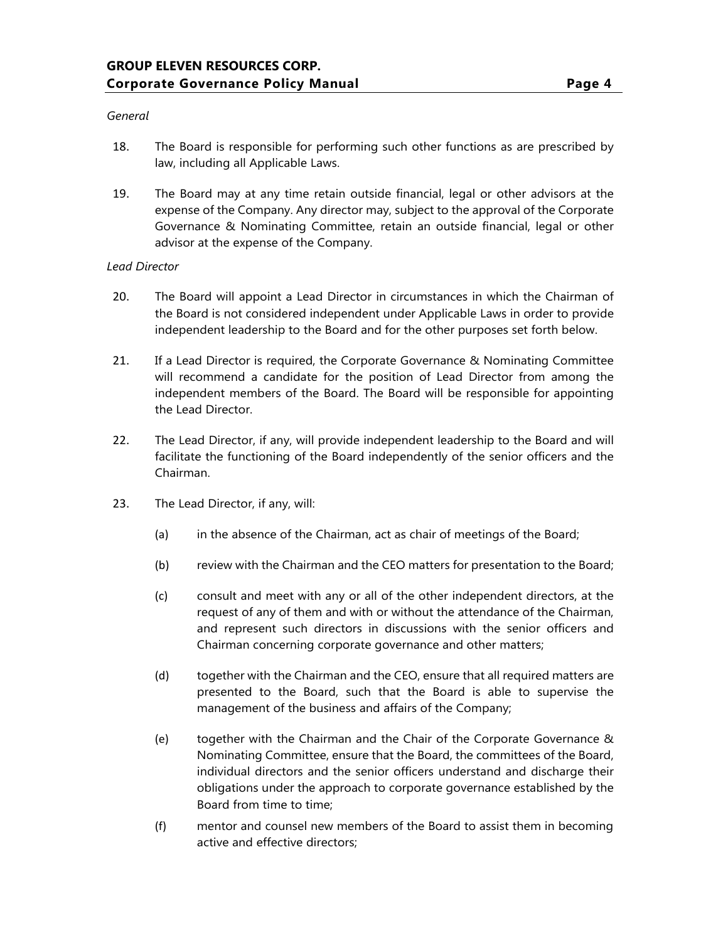#### *General*

- 18. The Board is responsible for performing such other functions as are prescribed by law, including all Applicable Laws.
- 19. The Board may at any time retain outside financial, legal or other advisors at the expense of the Company. Any director may, subject to the approval of the Corporate Governance & Nominating Committee, retain an outside financial, legal or other advisor at the expense of the Company.

#### *Lead Director*

- 20. The Board will appoint a Lead Director in circumstances in which the Chairman of the Board is not considered independent under Applicable Laws in order to provide independent leadership to the Board and for the other purposes set forth below.
- 21. If a Lead Director is required, the Corporate Governance & Nominating Committee will recommend a candidate for the position of Lead Director from among the independent members of the Board. The Board will be responsible for appointing the Lead Director.
- 22. The Lead Director, if any, will provide independent leadership to the Board and will facilitate the functioning of the Board independently of the senior officers and the Chairman.
- 23. The Lead Director, if any, will:
	- (a) in the absence of the Chairman, act as chair of meetings of the Board;
	- (b) review with the Chairman and the CEO matters for presentation to the Board;
	- (c) consult and meet with any or all of the other independent directors, at the request of any of them and with or without the attendance of the Chairman, and represent such directors in discussions with the senior officers and Chairman concerning corporate governance and other matters;
	- (d) together with the Chairman and the CEO, ensure that all required matters are presented to the Board, such that the Board is able to supervise the management of the business and affairs of the Company;
	- (e) together with the Chairman and the Chair of the Corporate Governance & Nominating Committee, ensure that the Board, the committees of the Board, individual directors and the senior officers understand and discharge their obligations under the approach to corporate governance established by the Board from time to time;
	- (f) mentor and counsel new members of the Board to assist them in becoming active and effective directors;